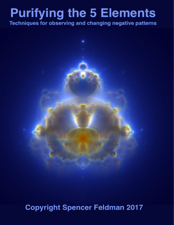# **Purifying the 5 Elements**

Techniques for observing and changing negative patterns



**Copyright Spencer Feldman 2017**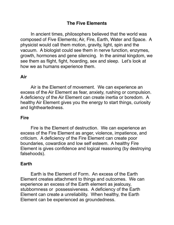## **The Five Elements**

In ancient times, philosophers believed that the world was composed of Five Elements; Air, Fire, Earth, Water and Space. A physicist would call them motion, gravity, light, spin and the vacuum. A biologist could see them in nerve function, enzymes, growth, hormones and gene silencing. In the animal kingdom, we see them as flight, fight, hoarding, sex and sleep. Let's look at how we as humans experience them.

## **Air**

 Air is the Element of movement. We can experience an excess of the Air Element as fear, anxiety, rushing or compulsion. A deficiency of the Air Element can create inertia or boredom. A healthy Air Element gives you the energy to start things, curiosity and lightheartedness.

### **Fire**

 Fire is the Element of destruction. We can experience an excess of the Fire Element as anger, violence, impatience, and criticism. A deficiency of the Fire Element can create poor boundaries, cowardice and low self esteem. A healthy Fire Element is gives confidence and logical reasoning (by destroying falsehoods).

### **Earth**

 Earth is the Element of Form. An excess of the Earth Element creates attachment to things and outcomes. We can experience an excess of the Earth element as jealousy, stubbornness or possessiveness. A deficiency of the Earth Element can create a unreliability. When healthy, the Earth Element can be experienced as groundedness.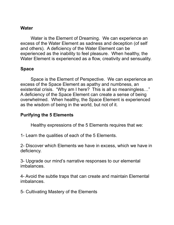## **Water**

 Water is the Element of Dreaming. We can experience an excess of the Water Element as sadness and deception (of self and others). A deficiency of the Water Element can be experienced as the inability to feel pleasure. When healthy, the Water Element is experienced as a flow, creativity and sensuality.

#### **Space**

 Space is the Element of Perspective. We can experience an excess of the Space Element as apathy and numbness, an existential crisis. "Why am I here? This is all so meaningless…" A deficiency of the Space Element can create a sense of being overwhelmed. When healthy, the Space Element is experienced as the wisdom of being in the world, but not of it.

### **Purifying the 5 Elements**

Healthy expressions of the 5 Elements requires that we:

1- Learn the qualities of each of the 5 Elements.

2- Discover which Elements we have in excess, which we have in deficiency.

3- Upgrade our mind's narrative responses to our elemental imbalances.

4- Avoid the subtle traps that can create and maintain Elemental imbalances.

5- Cultivating Mastery of the Elements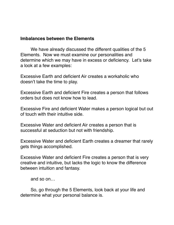## **Imbalances between the Elements**

We have already discussed the different qualities of the 5 Elements. Now we must examine our personalities and determine which we may have in excess or deficiency. Let's take a look at a few examples:

Excessive Earth and deficient Air creates a workaholic who doesn't take the time to play.

Excessive Earth and deficient Fire creates a person that follows orders but does not know how to lead.

Excessive Fire and deficient Water makes a person logical but out of touch with their intuitive side.

Excessive Water and deficient Air creates a person that is successful at seduction but not with friendship.

Excessive Water and deficient Earth creates a dreamer that rarely gets things accomplished.

Excessive Water and deficient Fire creates a person that is very creative and intuitive, but lacks the logic to know the difference between intuition and fantasy.

and so on…

So, go through the 5 Elements, look back at your life and determine what your personal balance is.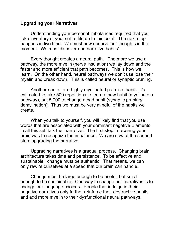### **Upgrading your Narratives**

 Understanding your personal imbalances required that you take inventory of your entire life up to this point. The next step happens in live time. We must now observe our thoughts in the moment. We must discover our 'narrative habits'.

 Every thought creates a neural path. The more we use a pathway, the more myelin (nerve insulation) we lay down and the faster and more efficient that path becomes. This is how we learn. On the other hand, neural pathways we don't use lose their myelin and break down. This is called neural or synaptic pruning.

 Another name for a highly myelinated path is a habit. It's estimated to take 500 repetitions to learn a new habit (myelinate a pathway), but 5,000 to change a bad habit (synaptic pruning/ demylination). Thus we must be very mindful of the habits we create.

 When you talk to yourself, you will likely find that you use words that are associated with your dominant negative Elements. I call this self talk the 'narrative'. The first step in rewiring your brain was to recognize the imbalance. We are now at the second step, upgrading the narrative.

 Upgrading narratives is a gradual process. Changing brain architecture takes time and persistence. To be effective and sustainable, change must be authentic. That means, we can only rewire ourselves at a speed that our brain can handle.

 Change must be large enough to be useful, but small enough to be sustainable. One way to change our narratives is to change our language choices. People that indulge in their negative narratives only further reinforce their destructive habits and add more myelin to their dysfunctional neural pathways.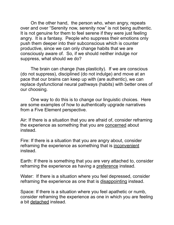On the other hand, the person who, when angry, repeats over and over "Serenity now, serenity now" is not being authentic. It is not genuine for them to feel serene if they were just feeling angry. It is a fantasy. People who suppress their emotions only push them deeper into their subconscious which is counter productive, since we can only change habits that we are consciously aware of. So, if we should neither indulge nor suppress, what should we do?

 The brain can change (has plasticity). If we are conscious (do not suppress), disciplined (do not indulge) and move at an pace that our brains can keep up with (are authentic), we can replace dysfunctional neural pathways (habits) with better ones of our choosing.

 One way to do this is to change our linguistic choices. Here are some examples of how to authentically upgrade narratives from a Five Element perspective.

Air: If there is a situation that you are afraid of, consider reframing the experience as something that you are concerned about instead.

Fire: If there is a situation that you are angry about, consider reframing the experience as something that is inconvenient instead.

Earth: If there is something that you are very attached to, consider reframing the experience as having a preference instead.

Water: If there is a situation where you feel depressed, consider reframing the experience as one that is disappointing instead.

Space: If there is a situation where you feel apathetic or numb, consider reframing the experience as one in which you are feeling a bit detached instead.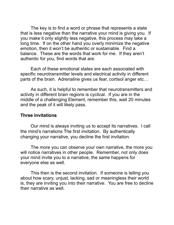The key is to find a word or phrase that represents a state that is less negative than the narrative your mind is giving you. If you make it only slightly less negative, this process may take a long time. If on the other hand you overly minimize the negative emotion, then it won't be authentic or sustainable. Find a balance. These are the words that work for me. If they aren't authentic for you, find words that are.

 Each of these emotional states are each associated with specific neurotransmitter levels and electrical activity in different parts of the brain. Adrenaline gives us fear, cortisol anger etc…

 As such, it is helpful to remember that neurotransmitters and activity in different brain regions is cyclical. If you are in the middle of a challenging Element, remember this, wait 20 minutes and the peak of it will likely pass.

#### **Three invitations**

Our mind is always inviting us to accept its narratives. I call the mind's narrations The first invitation. By authentically changing your narrative, you decline the first invitation.

 The more you can observe your own narrative, the more you will notice narratives in other people. Remember, not only does your mind invite you to a narrative, the same happens for everyone else as well.

 This then is the second invitation. If someone is telling you about how scary, unjust, lacking, sad or meaningless their world is, they are inviting you into their narrative. You are free to decline their narrative as well.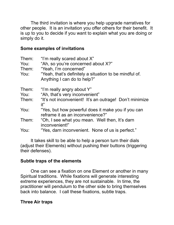The third invitation is where you help upgrade narratives for other people. It is an invitation you offer others for their benefit. It is up to you to decide if you want to explain what you are doing or simply do it.

## **Some examples of invitations**

| Them:<br>You:<br>Them:<br>You: | "I'm really scared about X"<br>"Ah, so you're concerned about X?"<br>"Yeah, I'm concerned"<br>"Yeah, that's definitely a situation to be mindful of.<br>Anything I can do to help?" |
|--------------------------------|-------------------------------------------------------------------------------------------------------------------------------------------------------------------------------------|
| Them:<br>You:                  | "I'm really angry about Y"<br>"Ah, that's very inconvenient"                                                                                                                        |
| Them:                          | "It's not inconvenient! It's an outrage! Don't minimize<br>it"                                                                                                                      |
| You:                           | "Yes, but how powerful does it make you if you can<br>reframe it as an inconvenience?"                                                                                              |
| Them:                          | "Oh, I see what you mean. Well then, It's darn<br>inconvenient!"                                                                                                                    |
| You:                           | "Yes, darn inconvenient. None of us is perfect."                                                                                                                                    |

 It takes skill to be able to help a person turn their dials (adjust their Elements) without pushing their buttons (triggering their defenses).

## **Subtle traps of the elements**

One can see a fixation on one Element or another in many Spiritual traditions. While fixations will generate interesting extreme experiences, they are not sustainable. In time, the practitioner will pendulum to the other side to bring themselves back into balance. I call these fixations, subtle traps.

## **Three Air traps**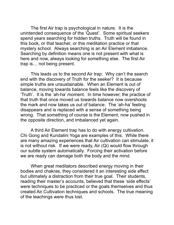The first Air trap is psychological in nature. It is the unintended consequence of the 'Quest'. Some spiritual seekers spend years searching for hidden truths. Truth will be found in this book, or that teacher, or this meditation practice or that mystery school. Always searching is an Air Element imbalance. Searching by definition means one is not present with what is here and now, always looking for something else. The first Air trap is… not being present.

 This leads us to the second Air trap. Why can't the search end with the discovery of Truth for the seeker? It is because simple truths are unsustainable. When an Element is out of balance, moving towards balance feels like the discovery of 'Truth'. It is the 'ah-ha' moment. In time however, the practice of that truth that once moved us towards balance now overshoots the mark and now takes us out of balance. The 'ah-ha' feeling disappears and is replaced with a sense of something being wrong. That something of course is the Element, now pushed in the opposite direction, and imbalanced yet again.

A third Air Element trap has to do with energy cultivation. Chi Gong and Kundalini Yoga are examples of this. While there are many amazing experiences that Air cultivation can stimulate, it is not without risk. If we were ready, Air (Qi) would flow through our subtle system automatically. Forcing their activation before we are ready can damage both the body and the mind.

 When great meditators described energy moving in their bodies and chakras, they considered it an interesting side effect but ultimately a distraction from their true goal. Their students, reading their master's accounts, believed that these 'side effects' were techniques to be practiced or the goals themselves and thus created Air Cultivation techniques and schools. The true meaning of the teachings were thus lost.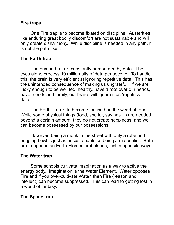## **Fire traps**

 One Fire trap is to become fixated on discipline. Austerities like enduring great bodily discomfort are not sustainable and will only create disharmony. While discipline is needed in any path, it is not the path itself.

## **The Earth trap**

The human brain is constantly bombarded by data. The eyes alone process 10 million bits of data per second. To handle this, the brain is very efficient at ignoring repetitive data. This has the unintended consequence of making us ungrateful. If we are lucky enough to be well fed, healthy, have a roof over our heads, have friends and family, our brains will ignore it as 'repetitive data'.

 The Earth Trap is to become focused on the world of form. While some physical things (food, shelter, savings…) are needed, beyond a certain amount, they do not create happiness, and we can become possessed by our possessions.

 However, being a monk in the street with only a robe and begging bowl is just as unsustainable as being a materialist. Both are trapped in an Earth Element imbalance, just in opposite ways.

# **The Water trap**

 Some schools cultivate imagination as a way to active the energy body. Imagination is the Water Element. Water opposes Fire and if you over-cultivate Water, then Fire (reason and intellect) can become suppressed. This can lead to getting lost in a world of fantasy.

# **The Space trap**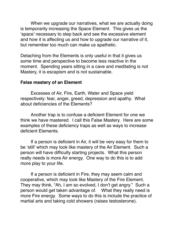When we upgrade our narratives, what we are actually doing is temporarily increasing the Space Element. This gives us the 'space' necessary to step back and see the excessive element and how it is affecting us and how to upgrade our narrative of it, but remember too much can make us apathetic.

Detaching from the Elements is only useful in that it gives us some time and perspective to become less reactive in the moment. Spending years sitting in a cave and meditating is not Mastery, it is escapism and is not sustainable.

## **False mastery of an Element**

Excesses of Air, Fire, Earth, Water and Space yield respectively: fear, anger, greed, depression and apathy. What about deficiencies of the Elements?

Another trap is to confuse a deficient Element for one we think we have mastered. I call this False Mastery. Here are some examples of these deficiency traps as well as ways to increase deficient Elements.

If a person is deficient in Air, it will be very easy for them to be 'still' which may look like mastery of the Air Element. Such a person will have difficulty starting projects. What this person really needs is more Air energy. One way to do this is to add more play to your life.

If a person is deficient in Fire, they may seem calm and cooperative, which may look like Mastery of the Fire Element. They may think, "Ah, I am so evolved, I don't get angry." Such a person would get taken advantage of. What they really need is more Fire energy. Some ways to do this is include the practice of martial arts and taking cold showers (raises testosterone).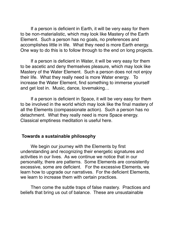If a person is deficient in Earth, it will be very easy for them to be non-materialistic, which may look like Mastery of the Earth Element. Such a person has no goals, no preferences and accomplishes little in life. What they need is more Earth energy. One way to do this is to follow through to the end on long projects.

If a person is deficient in Water, it will be very easy for them to be ascetic and deny themselves pleasure, which may look like Mastery of the Water Element. Such a person does not not enjoy their life. What they really need is more Water energy. To increase the Water Element, find something to immerse yourself and get lost in. Music, dance, lovemaking…

If a person is deficient in Space, it will be very easy for them to be involved in the world which may look like the final mastery of all the Elements (compassionate action). Such a person has no detachment. What they really need is more Space energy. Classical emptiness meditation is useful here.

### **Towards a sustainable philosophy**

We begin our journey with the Elements by first understanding and recognizing their energetic signatures and activities in our lives. As we continue we notice that in our personality, there are patterns. Some Elements are consistently excessive, some are deficient. For the excessive Elements, we learn how to upgrade our narratives. For the deficient Elements, we learn to increase them with certain practices.

 Then come the subtle traps of false mastery. Practices and beliefs that bring us out of balance. These are unsustainable